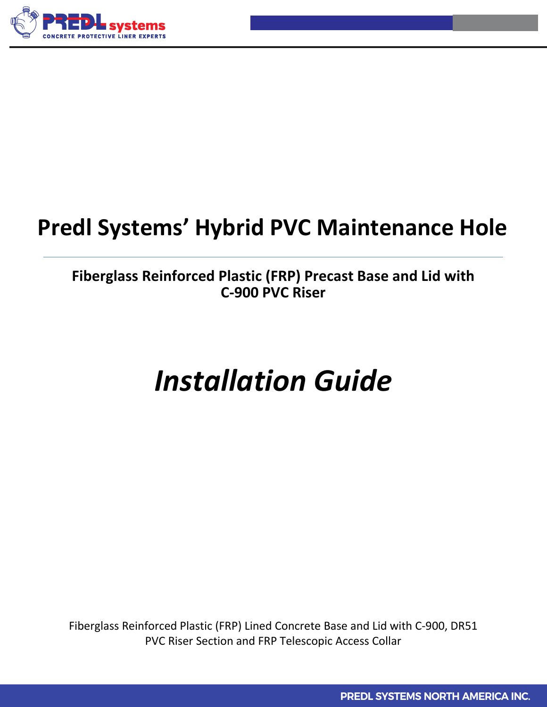

# **Predl Systems' Hybrid PVC Maintenance Hole**

### **Fiberglass Reinforced Plastic (FRP) Precast Base and Lid with C-900 PVC Riser**

# *Installation Guide*

Fiberglass Reinforced Plastic (FRP) Lined Concrete Base and Lid with C-900, DR51 PVC Riser Section and FRP Telescopic Access Collar

**PREDL SYSTEMS NORTH AMERICA INC.**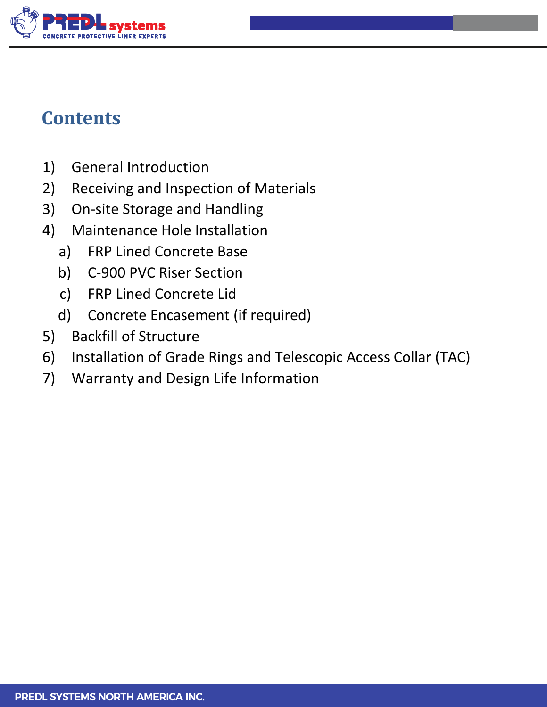

## **Contents**

- 1) General Introduction
- 2) Receiving and Inspection of Materials
- 3) On-site Storage and Handling
- 4) Maintenance Hole Installation
	- a) FRP Lined Concrete Base
	- b) C-900 PVC Riser Section
	- c) FRP Lined Concrete Lid
	- d) Concrete Encasement (if required)
- 5) Backfill of Structure
- 6) Installation of Grade Rings and Telescopic Access Collar (TAC)
- 7) Warranty and Design Life Information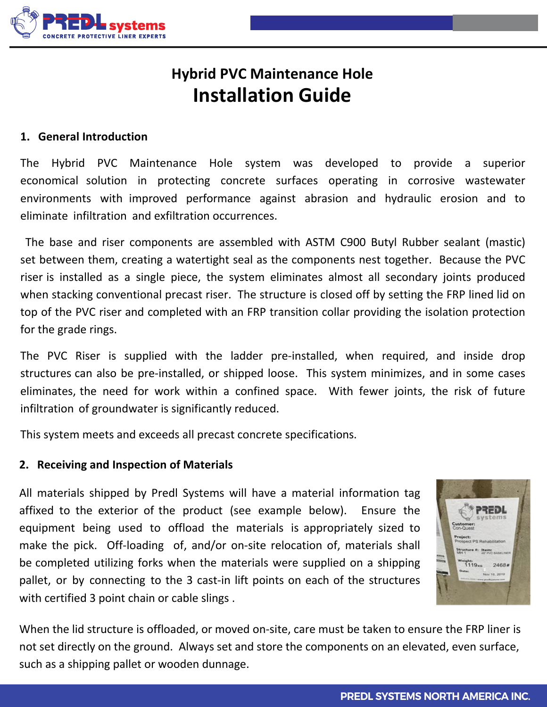

## **Hybrid PVC Maintenance Hole Installation Guide**

#### **1. General Introduction**

The Hybrid PVC Maintenance Hole system was developed to provide a superior economical solution in protecting concrete surfaces operating in corrosive wastewater environments with improved performance against abrasion and hydraulic erosion and to eliminate infiltration and exfiltration occurrences.

The base and riser components are assembled with ASTM C900 Butyl Rubber sealant (mastic) set between them, creating a watertight seal as the components nest together. Because the PVC riser is installed as a single piece, the system eliminates almost all secondary joints produced when stacking conventional precast riser. The structure is closed off by setting the FRP lined lid on top of the PVC riser and completed with an FRP transition collar providing the isolation protection for the grade rings.

The PVC Riser is supplied with the ladder pre-installed, when required, and inside drop structures can also be pre-installed, or shipped loose. This system minimizes, and in some cases eliminates, the need for work within a confined space. With fewer joints, the risk of future infiltration of groundwater is significantly reduced.

This system meets and exceeds all precast concrete specifications.

#### **2. Receiving and Inspection of Materials**

All materials shipped by Predl Systems will have a material information tag affixed to the exterior of the product (see example below). Ensure the equipment being used to offload the materials is appropriately sized to make the pick. Off-loading of, and/or on-site relocation of, materials shall be completed utilizing forks when the materials were supplied on a shipping pallet, or by connecting to the 3 cast-in lift points on each of the structures with certified 3 point chain or cable slings .



When the lid structure is offloaded, or moved on-site, care must be taken to ensure the FRP liner is not set directly on the ground. Always set and store the components on an elevated, even surface, such as a shipping pallet or wooden dunnage.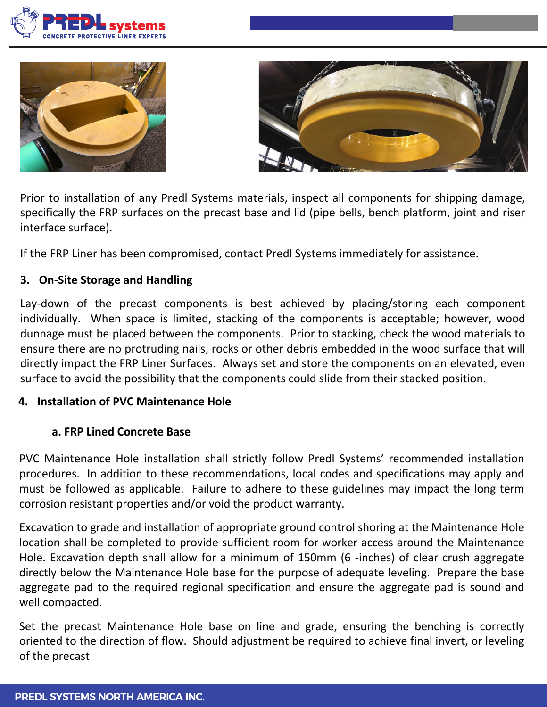





Prior to installation of any Predl Systems materials, inspect all components for shipping damage, specifically the FRP surfaces on the precast base and lid (pipe bells, bench platform, joint and riser interface surface).

If the FRP Liner has been compromised, contact Predl Systems immediately for assistance.

#### **3. On-Site Storage and Handling**

Lay-down of the precast components is best achieved by placing/storing each component individually. When space is limited, stacking of the components is acceptable; however, wood dunnage must be placed between the components. Prior to stacking, check the wood materials to ensure there are no protruding nails, rocks or other debris embedded in the wood surface that will directly impact the FRP Liner Surfaces. Always set and store the components on an elevated, even surface to avoid the possibility that the components could slide from their stacked position.

#### **4. Installation of PVC Maintenance Hole**

#### **a. FRP Lined Concrete Base**

PVC Maintenance Hole installation shall strictly follow Predl Systems' recommended installation procedures. In addition to these recommendations, local codes and specifications may apply and must be followed as applicable. Failure to adhere to these guidelines may impact the long term corrosion resistant properties and/or void the product warranty.

Excavation to grade and installation of appropriate ground control shoring at the Maintenance Hole location shall be completed to provide sufficient room for worker access around the Maintenance Hole. Excavation depth shall allow for a minimum of 150mm (6 -inches) of clear crush aggregate directly below the Maintenance Hole base for the purpose of adequate leveling. Prepare the base aggregate pad to the required regional specification and ensure the aggregate pad is sound and well compacted.

Set the precast Maintenance Hole base on line and grade, ensuring the benching is correctly oriented to the direction of flow. Should adjustment be required to achieve final invert, or leveling of the precast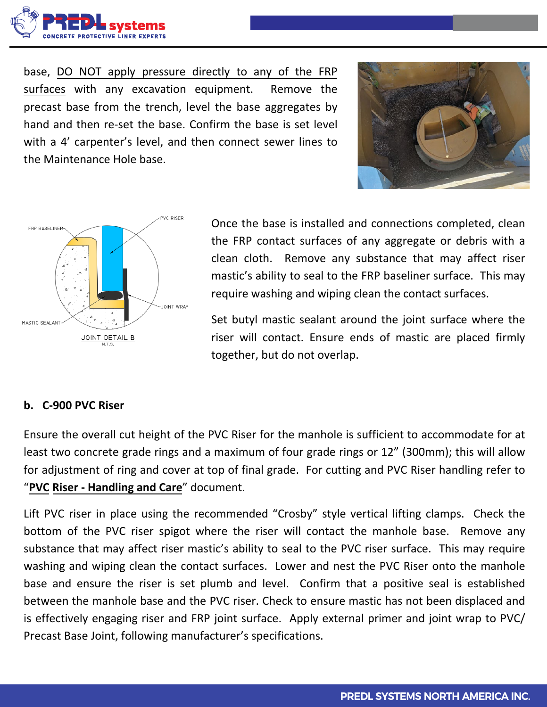

base, DO NOT apply pressure directly to any of the FRP surfaces with any excavation equipment. Remove the precast base from the trench, level the base aggregates by hand and then re-set the base. Confirm the base is set level with a 4' carpenter's level, and then connect sewer lines to the Maintenance Hole base.





Once the base is installed and connections completed, clean the FRP contact surfaces of any aggregate or debris with a clean cloth. Remove any substance that may affect riser mastic's ability to seal to the FRP baseliner surface. This may require washing and wiping clean the contact surfaces.

Set butyl mastic sealant around the joint surface where the riser will contact. Ensure ends of mastic are placed firmly together, but do not overlap.

#### **b. C-900 PVC Riser**

Ensure the overall cut height of the PVC Riser for the manhole is sufficient to accommodate for at least two concrete grade rings and a maximum of four grade rings or 12" (300mm); this will allow for adjustment of ring and cover at top of final grade. For cutting and PVC Riser handling refer to "**PVC Riser - Handling and Care**" document.

Lift PVC riser in place using the recommended "Crosby" style vertical lifting clamps. Check the bottom of the PVC riser spigot where the riser will contact the manhole base. Remove any substance that may affect riser mastic's ability to seal to the PVC riser surface. This may require washing and wiping clean the contact surfaces. Lower and nest the PVC Riser onto the manhole base and ensure the riser is set plumb and level. Confirm that a positive seal is established between the manhole base and the PVC riser. Check to ensure mastic has not been displaced and is effectively engaging riser and FRP joint surface. Apply external primer and joint wrap to PVC/ Precast Base Joint, following manufacturer's specifications.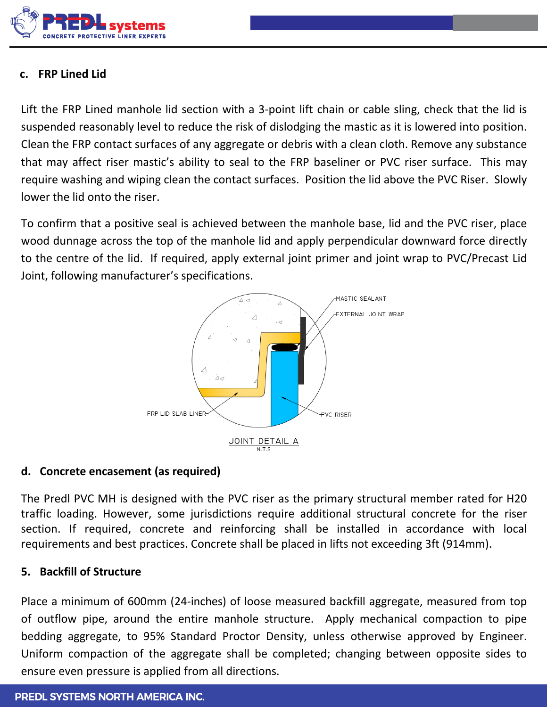

#### **c. FRP Lined Lid**

Lift the FRP Lined manhole lid section with a 3-point lift chain or cable sling, check that the lid is suspended reasonably level to reduce the risk of dislodging the mastic as it is lowered into position. Clean the FRP contact surfaces of any aggregate or debris with a clean cloth. Remove any substance that may affect riser mastic's ability to seal to the FRP baseliner or PVC riser surface. This may require washing and wiping clean the contact surfaces. Position the lid above the PVC Riser. Slowly lower the lid onto the riser.

To confirm that a positive seal is achieved between the manhole base, lid and the PVC riser, place wood dunnage across the top of the manhole lid and apply perpendicular downward force directly to the centre of the lid. If required, apply external joint primer and joint wrap to PVC/Precast Lid Joint, following manufacturer's specifications.



#### **d. Concrete encasement (as required)**

The Predl PVC MH is designed with the PVC riser as the primary structural member rated for H20 traffic loading. However, some jurisdictions require additional structural concrete for the riser section. If required, concrete and reinforcing shall be installed in accordance with local requirements and best practices. Concrete shall be placed in lifts not exceeding 3ft (914mm).

#### **5. Backfill of Structure**

Place a minimum of 600mm (24-inches) of loose measured backfill aggregate, measured from top of outflow pipe, around the entire manhole structure. Apply mechanical compaction to pipe bedding aggregate, to 95% Standard Proctor Density, unless otherwise approved by Engineer. Uniform compaction of the aggregate shall be completed; changing between opposite sides to ensure even pressure is applied from all directions.

#### **PREDL SYSTEMS NORTH AMERICA INC.**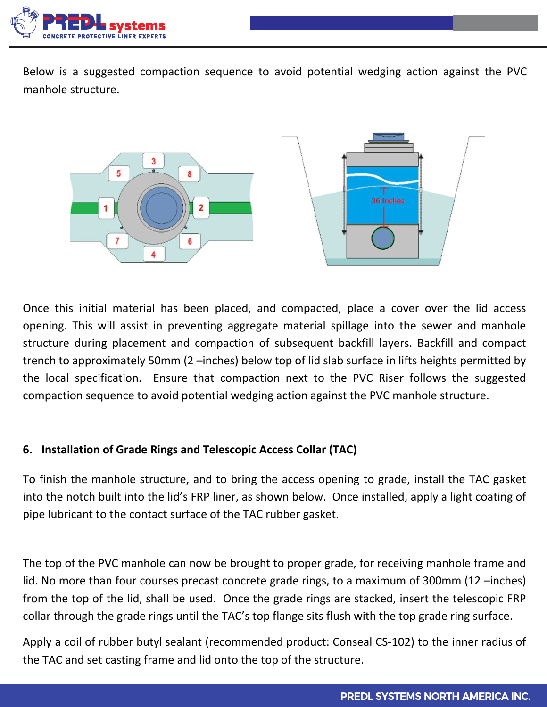

Below is a suggested compaction sequence to avoid potential wedging action against the PVC manhole structure.



Once this initial material has been placed, and compacted, place a cover over the lid access opening. This will assist in preventing aggregate material spillage into the sewer and manhole structure during placement and compaction of subsequent backfill layers. Backfill and compact trench to approximately 50mm (2 –inches) below top of lid slab surface in lifts heights permitted by the local specification. Ensure that compaction next to the PVC Riser follows the suggested compaction sequence to avoid potential wedging action against the PVC manhole structure.

#### **6. Installation of Grade Rings and Telescopic Access Collar (TAC)**

To finish the manhole structure, and to bring the access opening to grade, install the TAC gasket into the notch built into the lid's FRP liner, as shown below. Once installed, apply a light coating of pipe lubricant to the contact surface of the TAC rubber gasket.

The top of the PVC manhole can now be brought to proper grade, for receiving manhole frame and lid. No more than four courses precast concrete grade rings, to a maximum of 300mm (12 –inches) from the top of the lid, shall be used. Once the grade rings are stacked, insert the telescopic FRP collar through the grade rings until the TAC's top flange sits flush with the top grade ring surface.

Apply a coil of rubber butyl sealant (recommended product: Conseal CS-102) to the inner radius of the TAC and set casting frame and lid onto the top of the structure.